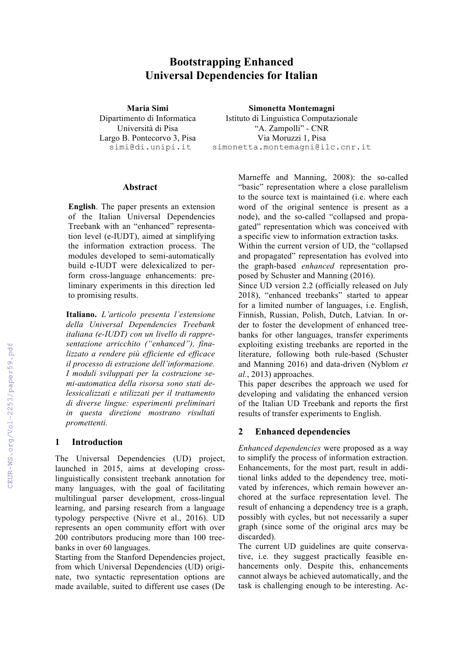# **Bootstrapping Enhanced Universal Dependencies for Italian**

**Maria Simi** Dipartimento di Informatica Università di Pisa Largo B. Pontecorvo 3, Pisa simi@di.unipi.it

**Simonetta Montemagni** Istituto di Linguistica Computazionale "A. Zampolli" - CNR Via Moruzzi 1, Pisa simonetta.montemagni@ilc.cnr.it

#### **Abstract**

**English**. The paper presents an extension of the Italian Universal Dependencies Treebank with an "enhanced" representation level (e-IUDT), aimed at simplifying the information extraction process. The modules developed to semi-automatically build e-IUDT were delexicalized to perform cross-language enhancements: preliminary experiments in this direction led to promising results.

**Italiano.** *L'articolo presenta l'estensione della Universal Dependencies Treebank italiana (e-IUDT) con un livello di rappresentazione arricchito ("enhanced"), finalizzato a rendere più efficiente ed efficace il processo di estrazione dell'informazione. I moduli sviluppati per la costruzione semi-automatica della risorsa sono stati delessicalizzati e utilizzati per il trattamento di diverse lingue: esperimenti preliminari in questa direzione mostrano risultati promettenti.*

#### **1 Introduction**

The Universal Dependencies (UD) project, launched in 2015, aims at developing crosslinguistically consistent treebank annotation for many languages, with the goal of facilitating multilingual parser development, cross-lingual learning, and parsing research from a language typology perspective (Nivre et al., 2016). UD represents an open community effort with over 200 contributors producing more than 100 treebanks in over 60 languages.

Starting from the Stanford Dependencies project, from which Universal Dependencies (UD) originate, two syntactic representation options are made available, suited to different use cases (De Marneffe and Manning, 2008): the so-called "basic" representation where a close parallelism to the source text is maintained (i.e. where each word of the original sentence is present as a node), and the so-called "collapsed and propagated" representation which was conceived with a specific view to information extraction tasks.

Within the current version of UD, the "collapsed and propagated" representation has evolved into the graph-based *enhanced* representation proposed by Schuster and Manning (2016).

Since UD version 2.2 (officially released on July 2018), "enhanced treebanks" started to appear for a limited number of languages, i.e. English, Finnish, Russian, Polish, Dutch, Latvian. In order to foster the development of enhanced treebanks for other languages, transfer experiments exploiting existing treebanks are reported in the literature, following both rule-based (Schuster and Manning 2016) and data-driven (Nyblom *et al.*, 2013) approaches.

This paper describes the approach we used for developing and validating the enhanced version of the Italian UD Treebank and reports the first results of transfer experiments to English.

### **2 Enhanced dependencies**

*Enhanced dependencies* were proposed as a way to simplify the process of information extraction. Enhancements, for the most part, result in additional links added to the dependency tree, motivated by inferences, which remain however anchored at the surface representation level. The result of enhancing a dependency tree is a graph, possibly with cycles, but not necessarily a super graph (since some of the original arcs may be discarded).

The current UD guidelines are quite conservative, i.e. they suggest practically feasible enhancements only. Despite this, enhancements cannot always be achieved automatically, and the task is challenging enough to be interesting. Ac-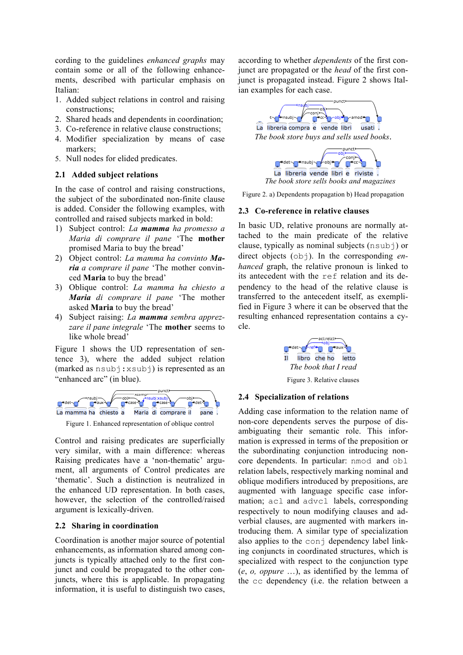cording to the guidelines *enhanced graphs* may contain some or all of the following enhancements, described with particular emphasis on Italian:

- 1. Added subject relations in control and raising constructions;
- 2. Shared heads and dependents in coordination;
- 3. Co-reference in relative clause constructions;
- 4. Modifier specialization by means of case markers;
- 5. Null nodes for elided predicates.

#### **2.1 Added subject relations**

In the case of control and raising constructions, the subject of the subordinated non-finite clause is added. Consider the following examples, with controlled and raised subjects marked in bold:

- 1) Subject control: *La mamma ha promesso a Maria di comprare il pane* 'The **mother** promised Maria to buy the bread'
- 2) Object control: *La mamma ha convinto Maria a comprare il pane* 'The mother convinced **Maria** to buy the bread'
- 3) Oblique control: *La mamma ha chiesto a Maria di comprare il pane* 'The mother asked **Maria** to buy the bread'
- 4) Subject raising: *La mamma sembra apprezzare il pane integrale* 'The **mother** seems to like whole bread'

Figure 1 shows the UD representation of sentence 3), where the added subject relation (marked as nsubj:xsubj) is represented as an "enhanced arc" (in blue).



Figure 1. Enhanced representation of oblique control

Control and raising predicates are superficially very similar, with a main difference: whereas Raising predicates have a 'non-thematic' argument, all arguments of Control predicates are 'thematic'. Such a distinction is neutralized in the enhanced UD representation. In both cases, however, the selection of the controlled/raised argument is lexically-driven.

#### **2.2 Sharing in coordination**

Coordination is another major source of potential enhancements, as information shared among conjuncts is typically attached only to the first conjunct and could be propagated to the other conjuncts, where this is applicable. In propagating information, it is useful to distinguish two cases, according to whether *dependents* of the first conjunct are propagated or the *head* of the first conjunct is propagated instead. Figure 2 shows Italian examples for each case.





Figure 2. a) Dependents propagation b) Head propagation

#### **2.3 Co-reference in relative clauses**

In basic UD, relative pronouns are normally attached to the main predicate of the relative clause, typically as nominal subjects (nsubj) or direct objects ( $obj$ ). In the corresponding *enhanced* graph, the relative pronoun is linked to its antecedent with the ref relation and its dependency to the head of the relative clause is transferred to the antecedent itself, as exemplified in Figure 3 where it can be observed that the resulting enhanced representation contains a cycle.



Figure 3. Relative clauses

#### **2.4 Specialization of relations**

Adding case information to the relation name of non-core dependents serves the purpose of disambiguating their semantic role. This information is expressed in terms of the preposition or the subordinating conjunction introducing noncore dependents. In particular: nmod and obl relation labels, respectively marking nominal and oblique modifiers introduced by prepositions, are augmented with language specific case information; acl and advcl labels, corresponding respectively to noun modifying clauses and adverbial clauses, are augmented with markers introducing them. A similar type of specialization also applies to the conj dependency label linking conjuncts in coordinated structures, which is specialized with respect to the conjunction type (*e*, *o, oppure* …), as identified by the lemma of the cc dependency (i.e. the relation between a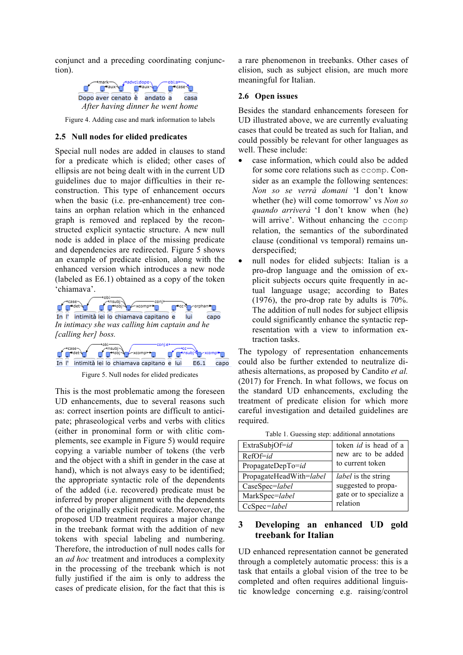conjunct and a preceding coordinating conjunction).



Figure 4. Adding case and mark information to labels

#### **2.5 Null nodes for elided predicates**

Special null nodes are added in clauses to stand for a predicate which is elided; other cases of ellipsis are not being dealt with in the current UD guidelines due to major difficulties in their reconstruction. This type of enhancement occurs when the basic (i.e. pre-enhancement) tree contains an orphan relation which in the enhanced graph is removed and replaced by the reconstructed explicit syntactic structure. A new null node is added in place of the missing predicate and dependencies are redirected. Figure 5 shows an example of predicate elision, along with the enhanced version which introduces a new node (labeled as E6.1) obtained as a copy of the token 'chiamava'.





Figure 5. Null nodes for elided predicates

This is the most problematic among the foreseen UD enhancements, due to several reasons such as: correct insertion points are difficult to anticipate; phraseological verbs and verbs with clitics (either in pronominal form or with clitic complements, see example in Figure 5) would require copying a variable number of tokens (the verb and the object with a shift in gender in the case at hand), which is not always easy to be identified; the appropriate syntactic role of the dependents of the added (i.e. recovered) predicate must be inferred by proper alignment with the dependents of the originally explicit predicate. Moreover, the proposed UD treatment requires a major change in the treebank format with the addition of new tokens with special labeling and numbering. Therefore, the introduction of null nodes calls for an *ad hoc* treatment and introduces a complexity in the processing of the treebank which is not fully justified if the aim is only to address the cases of predicate elision, for the fact that this is

a rare phenomenon in treebanks. Other cases of elision, such as subject elision, are much more meaningful for Italian.

#### **2.6 Open issues**

Besides the standard enhancements foreseen for UD illustrated above, we are currently evaluating cases that could be treated as such for Italian, and could possibly be relevant for other languages as well. These include:

- case information, which could also be added for some core relations such as ccomp. Consider as an example the following sentences: *Non so se verrà domani* 'I don't know whether (he) will come tomorrow' vs *Non so quando arriverà* 'I don't know when (he) will arrive'. Without enhancing the ccomp relation, the semantics of the subordinated clause (conditional vs temporal) remains underspecified;
- null nodes for elided subjects: Italian is a pro-drop language and the omission of explicit subjects occurs quite frequently in actual language usage; according to Bates (1976), the pro-drop rate by adults is 70%. The addition of null nodes for subject ellipsis could significantly enhance the syntactic representation with a view to information extraction tasks.

The typology of representation enhancements could also be further extended to neutralize diathesis alternations, as proposed by Candito *et al.* (2017) for French. In what follows, we focus on the standard UD enhancements, excluding the treatment of predicate elision for which more careful investigation and detailed guidelines are required.

| ExtraSubjOf=id          | token <i>id</i> is head of a |
|-------------------------|------------------------------|
| $RefOf = id$            | new arc to be added          |
| PropagateDepTo=id       | to current token             |
| PropagateHeadWith=label | <i>label</i> is the string   |
| CaseSpec=label          | suggested to propa-          |
| MarkSpec=label          | gate or to specialize a      |
| CcSpec=label            | relation                     |

Table 1. Guessing step: additional annotations

# **3 Developing an enhanced UD gold treebank for Italian**

UD enhanced representation cannot be generated through a completely automatic process: this is a task that entails a global vision of the tree to be completed and often requires additional linguistic knowledge concerning e.g. raising/control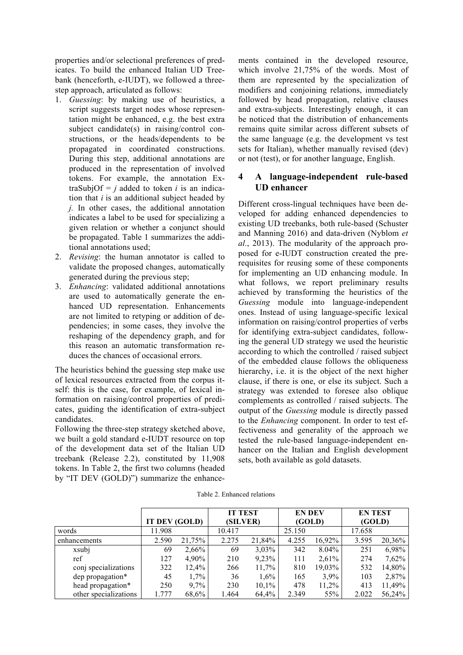properties and/or selectional preferences of predicates. To build the enhanced Italian UD Treebank (henceforth, e-IUDT), we followed a threestep approach, articulated as follows:

- 1. *Guessing*: by making use of heuristics, a script suggests target nodes whose representation might be enhanced, e.g. the best extra subject candidate(s) in raising/control constructions, or the heads/dependents to be propagated in coordinated constructions. During this step, additional annotations are produced in the representation of involved tokens. For example, the annotation ExtraSubjOf =  $j$  added to token  $i$  is an indication that *i* is an additional subject headed by *j.* In other cases, the additional annotation indicates a label to be used for specializing a given relation or whether a conjunct should be propagated. Table 1 summarizes the additional annotations used;
- 2. *Revising*: the human annotator is called to validate the proposed changes, automatically generated during the previous step;
- 3. *Enhancing*: validated additional annotations are used to automatically generate the enhanced UD representation. Enhancements are not limited to retyping or addition of dependencies; in some cases, they involve the reshaping of the dependency graph, and for this reason an automatic transformation reduces the chances of occasional errors.

The heuristics behind the guessing step make use of lexical resources extracted from the corpus itself: this is the case, for example, of lexical information on raising/control properties of predicates, guiding the identification of extra-subject candidates.

Following the three-step strategy sketched above, we built a gold standard e-IUDT resource on top of the development data set of the Italian UD treebank (Release 2.2), constituted by 11,908 tokens. In Table 2, the first two columns (headed by "IT DEV (GOLD)") summarize the enhancements contained in the developed resource, which involve 21,75% of the words. Most of them are represented by the specialization of modifiers and conjoining relations, immediately followed by head propagation, relative clauses and extra-subjects. Interestingly enough, it can be noticed that the distribution of enhancements remains quite similar across different subsets of the same language (e.g. the development vs test sets for Italian), whether manually revised (dev) or not (test), or for another language, English.

# **4 A language-independent rule-based UD enhancer**

Different cross-lingual techniques have been developed for adding enhanced dependencies to existing UD treebanks, both rule-based (Schuster and Manning 2016) and data-driven (Nyblom *et al.*, 2013). The modularity of the approach proposed for e-IUDT construction created the prerequisites for reusing some of these components for implementing an UD enhancing module. In what follows, we report preliminary results achieved by transforming the heuristics of the *Guessing* module into language-independent ones. Instead of using language-specific lexical information on raising/control properties of verbs for identifying extra-subject candidates, following the general UD strategy we used the heuristic according to which the controlled / raised subject of the embedded clause follows the obliqueness hierarchy, i.e. it is the object of the next higher clause, if there is one, or else its subject. Such a strategy was extended to foresee also oblique complements as controlled / raised subjects. The output of the *Guessing* module is directly passed to the *Enhancing* component. In order to test effectiveness and generality of the approach we tested the rule-based language-independent enhancer on the Italian and English development sets, both available as gold datasets.

Table 2. Enhanced relations

|                       | IT DEV (GOLD) |        | <b>IT TEST</b><br>(SILVER) |        | <b>EN DEV</b><br>(GOLD) |          | <b>ENTEST</b><br>(GOLD) |          |
|-----------------------|---------------|--------|----------------------------|--------|-------------------------|----------|-------------------------|----------|
|                       |               |        |                            |        |                         |          |                         |          |
| words                 | 11.908        |        | 10.417                     |        | 25.150                  |          | 17.658                  |          |
| enhancements          | 2.590         | 21,75% | 2.275                      | 21,84% | 4.255                   | 16,92%   | 3.595                   | 20,36%   |
| xsubj                 | 69            | 2,66%  | 69                         | 3,03%  | 342                     | 8.04%    | 251                     | 6,98%    |
| ref                   | 127           | 4,90%  | 210                        | 9,23%  | 111                     | $2,61\%$ | 274                     | $7,62\%$ |
| conj specializations  | 322           | 12,4%  | 266                        | 11,7%  | 810                     | 19,03%   | 532                     | 14,80%   |
| dep propagation*      | 45            | 1,7%   | 36                         | 1,6%   | 165                     | 3,9%     | 103                     | 2,87%    |
| head propagation*     | 250           | 9,7%   | 230                        | 10,1%  | 478                     | $11,2\%$ | 413                     | 11,49%   |
| other specializations | 1.777         | 68,6%  | 1.464                      | 64,4%  | 2.349                   | 55%      | 2.022                   | 56,24%   |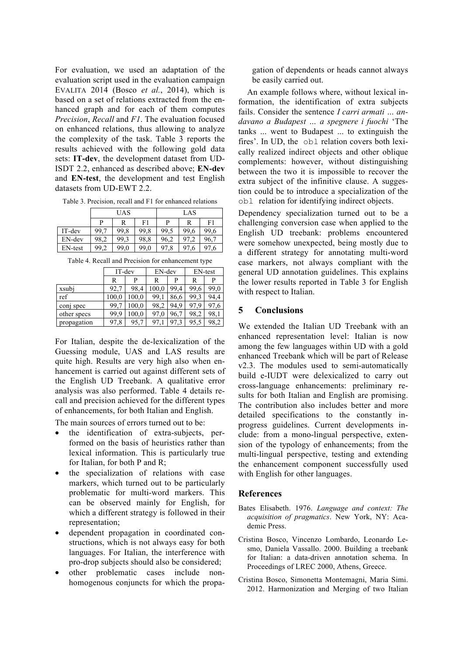For evaluation, we used an adaptation of the evaluation script used in the evaluation campaign EVALITA 2014 (Bosco *et al.*, 2014), which is based on a set of relations extracted from the enhanced graph and for each of them computes *Precision*, *Recall* and *F1*. The evaluation focused on enhanced relations, thus allowing to analyze the complexity of the task. Table 3 reports the results achieved with the following gold data sets: **IT-dev**, the development dataset from UD-ISDT 2.2, enhanced as described above; **EN-dev** and **EN-test**, the development and test English datasets from UD-EWT 2.2.

Table 3. Precision, recall and F1 for enhanced relations

|         |      | <b>UAS</b> |      | LAS  |      |      |  |
|---------|------|------------|------|------|------|------|--|
|         | P    | R          | F1   | P    | R    | F1   |  |
| IT-dev  | 99,7 | 99.8       | 99.8 | 99,5 | 99,6 | 99,6 |  |
| EN-dev  | 98,2 | 99.3       | 98,8 | 96,2 | 97.2 | 96,7 |  |
| EN-test | 99,2 | 99,0       | 99,0 | 97,8 | 97.6 | 97.6 |  |

Table 4. Recall and Precision for enhancement type

|             | IT-dev |       | EN-dev |      | EN-test  |      |  |
|-------------|--------|-------|--------|------|----------|------|--|
|             | R      | D     | R      | p    | R        | P    |  |
| xsubj       | 92,7   | 98,4  | 100,0  | 99.4 | 99,6     | 99,0 |  |
| ref         | 100,0  | 100,0 | 99,1   | 86,6 | 99,3     | 94,4 |  |
| conj spec   | 99.7   | 100.0 | 98,2   | 94.9 | 97.<br>9 | 97,6 |  |
| other specs | 99.9   | 100.0 | 97,0   | 96,7 | 98,2     | 98.  |  |
| propagation | 97,8   | 95,7  | 97.    | 97.3 | 95,5     | 98.  |  |

For Italian, despite the de-lexicalization of the Guessing module, UAS and LAS results are quite high. Results are very high also when enhancement is carried out against different sets of the English UD Treebank. A qualitative error analysis was also performed. Table 4 details recall and precision achieved for the different types of enhancements, for both Italian and English.

The main sources of errors turned out to be:

- the identification of extra-subjects, performed on the basis of heuristics rather than lexical information. This is particularly true for Italian, for both P and R;
- the specialization of relations with case markers, which turned out to be particularly problematic for multi-word markers. This can be observed mainly for English, for which a different strategy is followed in their representation;
- dependent propagation in coordinated constructions, which is not always easy for both languages. For Italian, the interference with pro-drop subjects should also be considered;
- other problematic cases include nonhomogenous conjuncts for which the propa-

gation of dependents or heads cannot always be easily carried out.

An example follows where, without lexical information, the identification of extra subjects fails. Consider the sentence *I carri armati … andavano a Budapest … a spegnere i fuochi* 'The tanks ... went to Budapest ... to extinguish the fires'. In UD, the obl relation covers both lexically realized indirect objects and other oblique complements: however, without distinguishing between the two it is impossible to recover the extra subject of the infinitive clause. A suggestion could be to introduce a specialization of the obl relation for identifying indirect objects.

Dependency specialization turned out to be a challenging conversion case when applied to the English UD treebank: problems encountered were somehow unexpected, being mostly due to a different strategy for annotating multi-word case markers, not always compliant with the general UD annotation guidelines. This explains the lower results reported in Table 3 for English with respect to Italian.

## **5 Conclusions**

We extended the Italian UD Treebank with an enhanced representation level: Italian is now among the few languages within UD with a gold enhanced Treebank which will be part of Release v2.3. The modules used to semi-automatically build e-IUDT were delexicalized to carry out cross-language enhancements: preliminary results for both Italian and English are promising. The contribution also includes better and more detailed specifications to the constantly inprogress guidelines. Current developments include: from a mono-lingual perspective, extension of the typology of enhancements; from the multi-lingual perspective, testing and extending the enhancement component successfully used with English for other languages.

### **References**

- Bates Elisabeth. 1976. *Language and context: The acquisition of pragmatics*. New York, NY: Academic Press.
- Cristina Bosco, Vincenzo Lombardo, Leonardo Lesmo, Daniela Vassallo. 2000. Building a treebank for Italian: a data-driven annotation schema. In Proceedings of LREC 2000, Athens, Greece.
- Cristina Bosco, Simonetta Montemagni, Maria Simi. 2012. Harmonization and Merging of two Italian